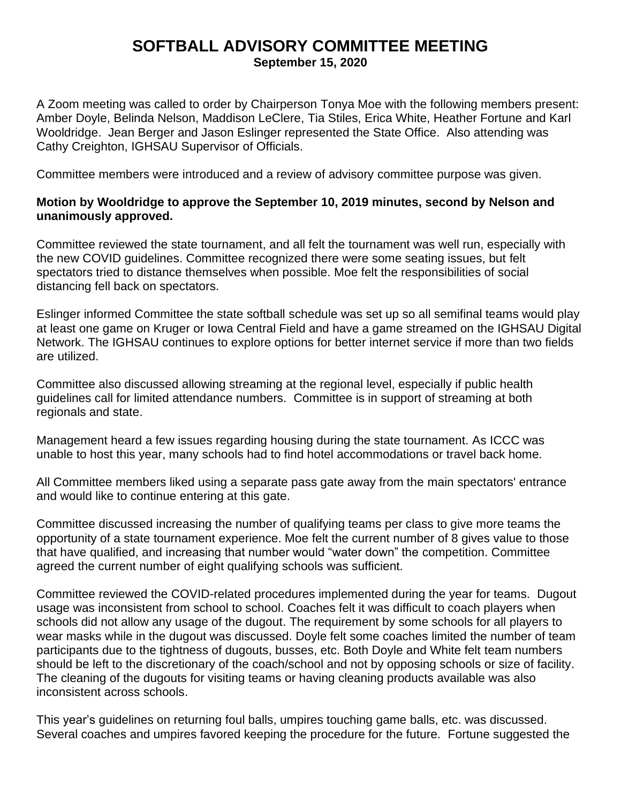## **SOFTBALL ADVISORY COMMITTEE MEETING**

**September 15, 2020**

A Zoom meeting was called to order by Chairperson Tonya Moe with the following members present: Amber Doyle, Belinda Nelson, Maddison LeClere, Tia Stiles, Erica White, Heather Fortune and Karl Wooldridge. Jean Berger and Jason Eslinger represented the State Office. Also attending was Cathy Creighton, IGHSAU Supervisor of Officials.

Committee members were introduced and a review of advisory committee purpose was given.

## **Motion by Wooldridge to approve the September 10, 2019 minutes, second by Nelson and unanimously approved.**

Committee reviewed the state tournament, and all felt the tournament was well run, especially with the new COVID guidelines. Committee recognized there were some seating issues, but felt spectators tried to distance themselves when possible. Moe felt the responsibilities of social distancing fell back on spectators.

Eslinger informed Committee the state softball schedule was set up so all semifinal teams would play at least one game on Kruger or Iowa Central Field and have a game streamed on the IGHSAU Digital Network. The IGHSAU continues to explore options for better internet service if more than two fields are utilized.

Committee also discussed allowing streaming at the regional level, especially if public health guidelines call for limited attendance numbers. Committee is in support of streaming at both regionals and state.

Management heard a few issues regarding housing during the state tournament. As ICCC was unable to host this year, many schools had to find hotel accommodations or travel back home.

All Committee members liked using a separate pass gate away from the main spectators' entrance and would like to continue entering at this gate.

Committee discussed increasing the number of qualifying teams per class to give more teams the opportunity of a state tournament experience. Moe felt the current number of 8 gives value to those that have qualified, and increasing that number would "water down" the competition. Committee agreed the current number of eight qualifying schools was sufficient.

Committee reviewed the COVID-related procedures implemented during the year for teams. Dugout usage was inconsistent from school to school. Coaches felt it was difficult to coach players when schools did not allow any usage of the dugout. The requirement by some schools for all players to wear masks while in the dugout was discussed. Doyle felt some coaches limited the number of team participants due to the tightness of dugouts, busses, etc. Both Doyle and White felt team numbers should be left to the discretionary of the coach/school and not by opposing schools or size of facility. The cleaning of the dugouts for visiting teams or having cleaning products available was also inconsistent across schools.

This year's guidelines on returning foul balls, umpires touching game balls, etc. was discussed. Several coaches and umpires favored keeping the procedure for the future. Fortune suggested the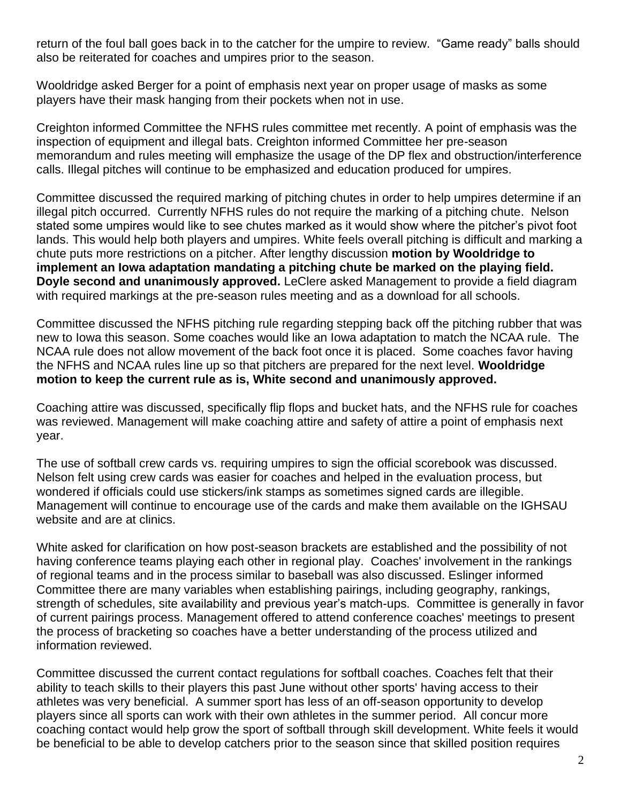return of the foul ball goes back in to the catcher for the umpire to review. "Game ready" balls should also be reiterated for coaches and umpires prior to the season.

Wooldridge asked Berger for a point of emphasis next year on proper usage of masks as some players have their mask hanging from their pockets when not in use.

Creighton informed Committee the NFHS rules committee met recently. A point of emphasis was the inspection of equipment and illegal bats. Creighton informed Committee her pre-season memorandum and rules meeting will emphasize the usage of the DP flex and obstruction/interference calls. Illegal pitches will continue to be emphasized and education produced for umpires.

Committee discussed the required marking of pitching chutes in order to help umpires determine if an illegal pitch occurred. Currently NFHS rules do not require the marking of a pitching chute. Nelson stated some umpires would like to see chutes marked as it would show where the pitcher's pivot foot lands. This would help both players and umpires. White feels overall pitching is difficult and marking a chute puts more restrictions on a pitcher. After lengthy discussion **motion by Wooldridge to implement an Iowa adaptation mandating a pitching chute be marked on the playing field. Doyle second and unanimously approved.** LeClere asked Management to provide a field diagram with required markings at the pre-season rules meeting and as a download for all schools.

Committee discussed the NFHS pitching rule regarding stepping back off the pitching rubber that was new to Iowa this season. Some coaches would like an Iowa adaptation to match the NCAA rule. The NCAA rule does not allow movement of the back foot once it is placed. Some coaches favor having the NFHS and NCAA rules line up so that pitchers are prepared for the next level. **Wooldridge motion to keep the current rule as is, White second and unanimously approved.**

Coaching attire was discussed, specifically flip flops and bucket hats, and the NFHS rule for coaches was reviewed. Management will make coaching attire and safety of attire a point of emphasis next year.

The use of softball crew cards vs. requiring umpires to sign the official scorebook was discussed. Nelson felt using crew cards was easier for coaches and helped in the evaluation process, but wondered if officials could use stickers/ink stamps as sometimes signed cards are illegible. Management will continue to encourage use of the cards and make them available on the IGHSAU website and are at clinics.

White asked for clarification on how post-season brackets are established and the possibility of not having conference teams playing each other in regional play. Coaches' involvement in the rankings of regional teams and in the process similar to baseball was also discussed. Eslinger informed Committee there are many variables when establishing pairings, including geography, rankings, strength of schedules, site availability and previous year's match-ups. Committee is generally in favor of current pairings process. Management offered to attend conference coaches' meetings to present the process of bracketing so coaches have a better understanding of the process utilized and information reviewed.

Committee discussed the current contact regulations for softball coaches. Coaches felt that their ability to teach skills to their players this past June without other sports' having access to their athletes was very beneficial. A summer sport has less of an off-season opportunity to develop players since all sports can work with their own athletes in the summer period. All concur more coaching contact would help grow the sport of softball through skill development. White feels it would be beneficial to be able to develop catchers prior to the season since that skilled position requires